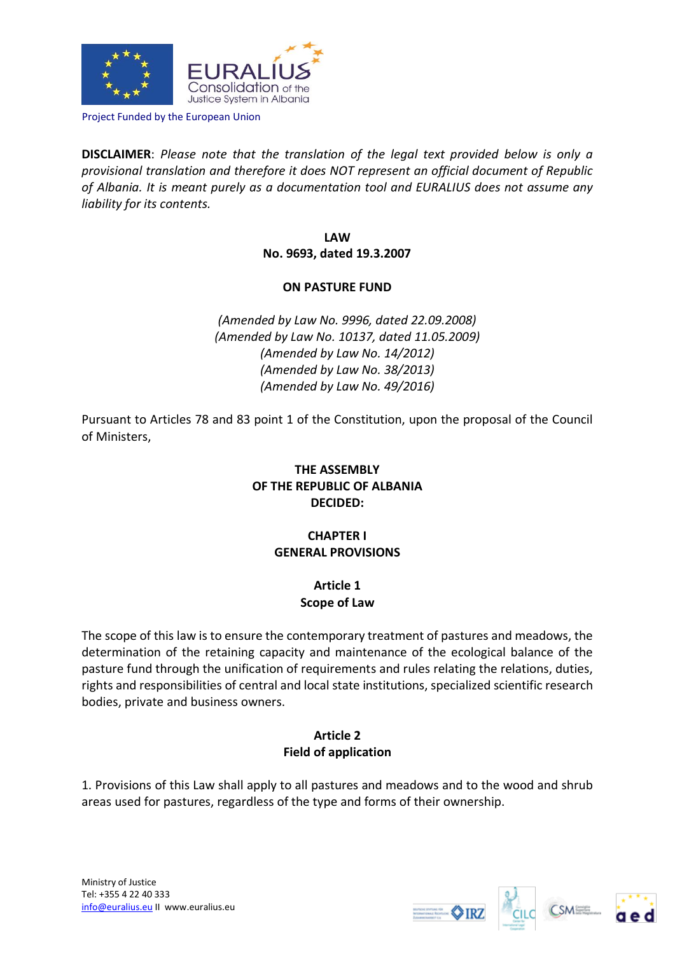

Project Funded by the European Union

**DISCLAIMER**: *Please note that the translation of the legal text provided below is only a provisional translation and therefore it does NOT represent an official document of Republic of Albania. It is meant purely as a documentation tool and EURALIUS does not assume any liability for its contents.*

> **LAW No. 9693, dated 19.3.2007**

### **ON PASTURE FUND**

*(Amended by Law No. 9996, dated 22.09.2008) (Amended by Law No. 10137, dated 11.05.2009) (Amended by Law No. 14/2012) (Amended by Law No. 38/2013) (Amended by Law No. 49/2016)*

Pursuant to Articles 78 and 83 point 1 of the Constitution, upon the proposal of the Council of Ministers,

# **THE ASSEMBLY OF THE REPUBLIC OF ALBANIA DECIDED:**

# **CHAPTER I GENERAL PROVISIONS**

# **Article 1 Scope of Law**

The scope of this law is to ensure the contemporary treatment of pastures and meadows, the determination of the retaining capacity and maintenance of the ecological balance of the pasture fund through the unification of requirements and rules relating the relations, duties, rights and responsibilities of central and local state institutions, specialized scientific research bodies, private and business owners.

# **Article 2 Field of application**

1. Provisions of this Law shall apply to all pastures and meadows and to the wood and shrub areas used for pastures, regardless of the type and forms of their ownership.





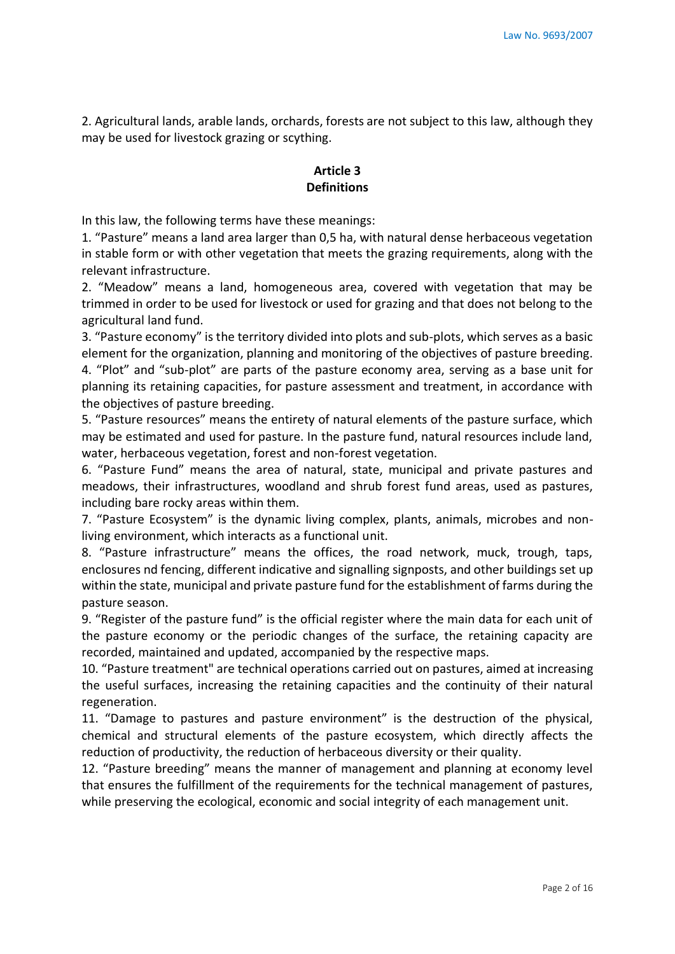2. Agricultural lands, arable lands, orchards, forests are not subject to this law, although they may be used for livestock grazing or scything.

# **Article 3 Definitions**

In this law, the following terms have these meanings:

1. "Pasture" means a land area larger than 0,5 ha, with natural dense herbaceous vegetation in stable form or with other vegetation that meets the grazing requirements, along with the relevant infrastructure.

2. "Meadow" means a land, homogeneous area, covered with vegetation that may be trimmed in order to be used for livestock or used for grazing and that does not belong to the agricultural land fund.

3. "Pasture economy" is the territory divided into plots and sub-plots, which serves as a basic element for the organization, planning and monitoring of the objectives of pasture breeding. 4. "Plot" and "sub-plot" are parts of the pasture economy area, serving as a base unit for planning its retaining capacities, for pasture assessment and treatment, in accordance with the objectives of pasture breeding.

5. "Pasture resources" means the entirety of natural elements of the pasture surface, which may be estimated and used for pasture. In the pasture fund, natural resources include land, water, herbaceous vegetation, forest and non-forest vegetation.

6. "Pasture Fund" means the area of natural, state, municipal and private pastures and meadows, their infrastructures, woodland and shrub forest fund areas, used as pastures, including bare rocky areas within them.

7. "Pasture Ecosystem" is the dynamic living complex, plants, animals, microbes and nonliving environment, which interacts as a functional unit.

8. "Pasture infrastructure" means the offices, the road network, muck, trough, taps, enclosures nd fencing, different indicative and signalling signposts, and other buildings set up within the state, municipal and private pasture fund for the establishment of farms during the pasture season.

9. "Register of the pasture fund" is the official register where the main data for each unit of the pasture economy or the periodic changes of the surface, the retaining capacity are recorded, maintained and updated, accompanied by the respective maps.

10. "Pasture treatment" are technical operations carried out on pastures, aimed at increasing the useful surfaces, increasing the retaining capacities and the continuity of their natural regeneration.

11. "Damage to pastures and pasture environment" is the destruction of the physical, chemical and structural elements of the pasture ecosystem, which directly affects the reduction of productivity, the reduction of herbaceous diversity or their quality.

12. "Pasture breeding" means the manner of management and planning at economy level that ensures the fulfillment of the requirements for the technical management of pastures, while preserving the ecological, economic and social integrity of each management unit.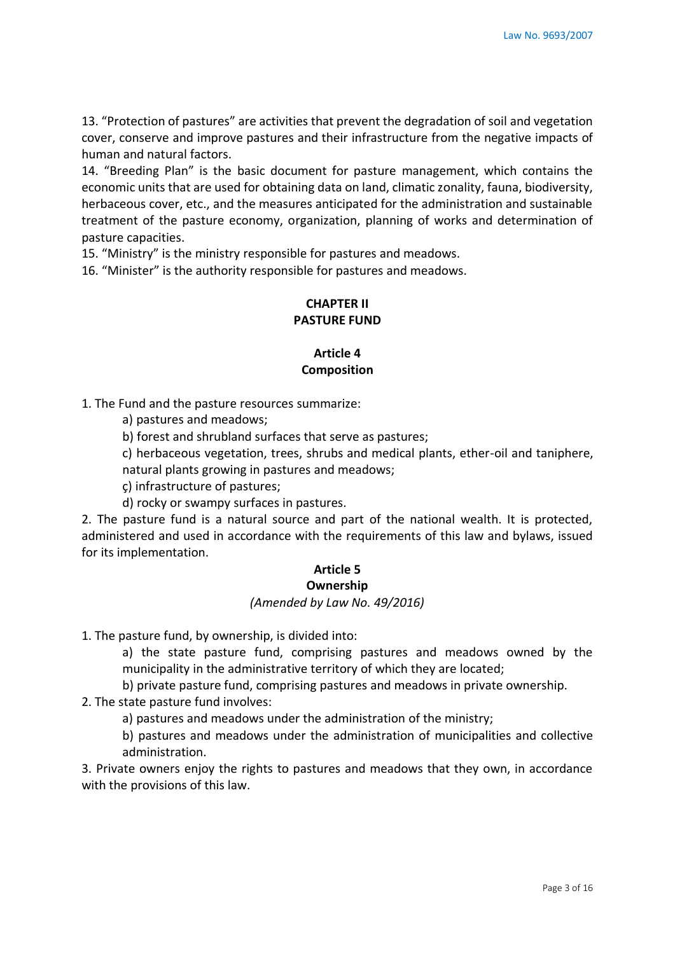13. "Protection of pastures" are activities that prevent the degradation of soil and vegetation cover, conserve and improve pastures and their infrastructure from the negative impacts of human and natural factors.

14. "Breeding Plan" is the basic document for pasture management, which contains the economic units that are used for obtaining data on land, climatic zonality, fauna, biodiversity, herbaceous cover, etc., and the measures anticipated for the administration and sustainable treatment of the pasture economy, organization, planning of works and determination of pasture capacities.

15. "Ministry" is the ministry responsible for pastures and meadows.

16. "Minister" is the authority responsible for pastures and meadows.

### **CHAPTER II PASTURE FUND**

### **Article 4 Composition**

1. The Fund and the pasture resources summarize:

a) pastures and meadows;

b) forest and shrubland surfaces that serve as pastures;

c) herbaceous vegetation, trees, shrubs and medical plants, ether-oil and taniphere, natural plants growing in pastures and meadows;

ç) infrastructure of pastures;

d) rocky or swampy surfaces in pastures.

2. The pasture fund is a natural source and part of the national wealth. It is protected, administered and used in accordance with the requirements of this law and bylaws, issued for its implementation.

# **Article 5**

# **Ownership**

# *(Amended by Law No. 49/2016)*

1. The pasture fund, by ownership, is divided into:

a) the state pasture fund, comprising pastures and meadows owned by the municipality in the administrative territory of which they are located;

b) private pasture fund, comprising pastures and meadows in private ownership.

2. The state pasture fund involves:

a) pastures and meadows under the administration of the ministry;

b) pastures and meadows under the administration of municipalities and collective administration.

3. Private owners enjoy the rights to pastures and meadows that they own, in accordance with the provisions of this law.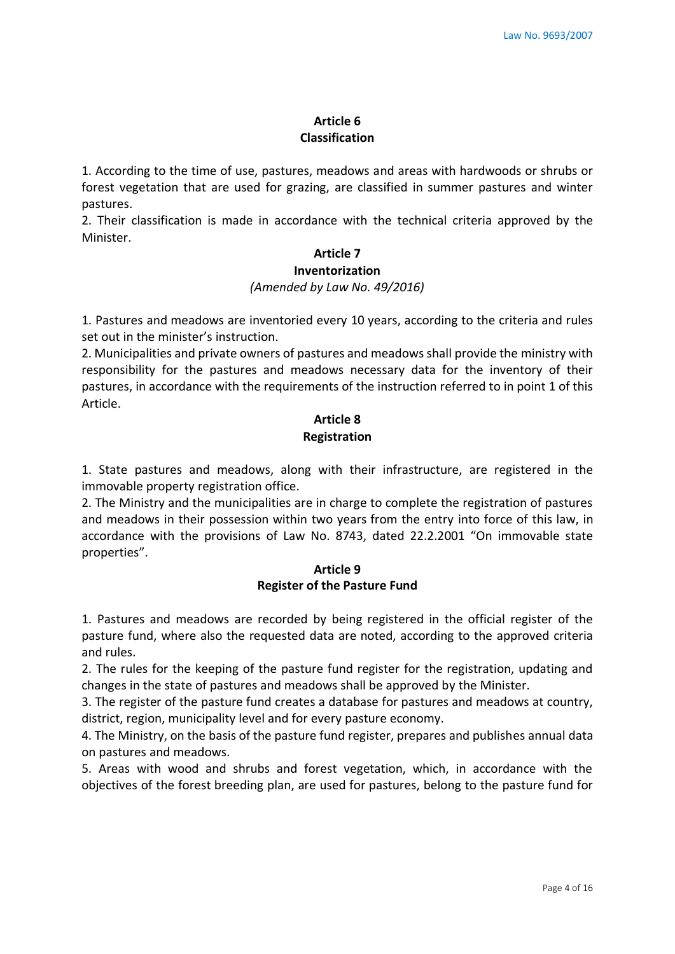### **Article 6 Classification**

1. According to the time of use, pastures, meadows and areas with hardwoods or shrubs or forest vegetation that are used for grazing, are classified in summer pastures and winter pastures.

2. Their classification is made in accordance with the technical criteria approved by the Minister.

# **Article 7**

### **Inventorization**

#### *(Amended by Law No. 49/2016)*

1. Pastures and meadows are inventoried every 10 years, according to the criteria and rules set out in the minister's instruction.

2. Municipalities and private owners of pastures and meadows shall provide the ministry with responsibility for the pastures and meadows necessary data for the inventory of their pastures, in accordance with the requirements of the instruction referred to in point 1 of this Article.

# **Article 8 Registration**

1. State pastures and meadows, along with their infrastructure, are registered in the immovable property registration office.

2. The Ministry and the municipalities are in charge to complete the registration of pastures and meadows in their possession within two years from the entry into force of this law, in accordance with the provisions of Law No. 8743, dated 22.2.2001 "On immovable state properties".

### **Article 9 Register of the Pasture Fund**

1. Pastures and meadows are recorded by being registered in the official register of the pasture fund, where also the requested data are noted, according to the approved criteria and rules.

2. The rules for the keeping of the pasture fund register for the registration, updating and changes in the state of pastures and meadows shall be approved by the Minister.

3. The register of the pasture fund creates a database for pastures and meadows at country, district, region, municipality level and for every pasture economy.

4. The Ministry, on the basis of the pasture fund register, prepares and publishes annual data on pastures and meadows.

5. Areas with wood and shrubs and forest vegetation, which, in accordance with the objectives of the forest breeding plan, are used for pastures, belong to the pasture fund for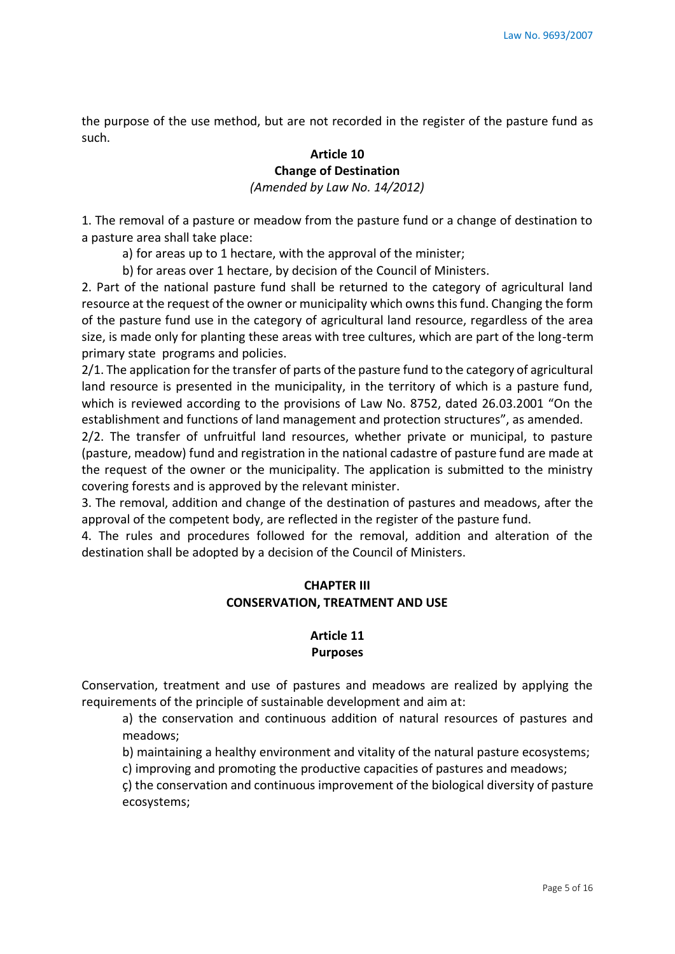the purpose of the use method, but are not recorded in the register of the pasture fund as such.

# **Article 10 Change of Destination**  *(Amended by Law No. 14/2012)*

1. The removal of a pasture or meadow from the pasture fund or a change of destination to a pasture area shall take place:

- a) for areas up to 1 hectare, with the approval of the minister;
- b) for areas over 1 hectare, by decision of the Council of Ministers.

2. Part of the national pasture fund shall be returned to the category of agricultural land resource at the request of the owner or municipality which owns this fund. Changing the form of the pasture fund use in the category of agricultural land resource, regardless of the area size, is made only for planting these areas with tree cultures, which are part of the long-term primary state programs and policies.

2/1. The application for the transfer of parts of the pasture fund to the category of agricultural land resource is presented in the municipality, in the territory of which is a pasture fund, which is reviewed according to the provisions of Law No. 8752, dated 26.03.2001 "On the establishment and functions of land management and protection structures", as amended.

2/2. The transfer of unfruitful land resources, whether private or municipal, to pasture (pasture, meadow) fund and registration in the national cadastre of pasture fund are made at the request of the owner or the municipality. The application is submitted to the ministry covering forests and is approved by the relevant minister.

3. The removal, addition and change of the destination of pastures and meadows, after the approval of the competent body, are reflected in the register of the pasture fund.

4. The rules and procedures followed for the removal, addition and alteration of the destination shall be adopted by a decision of the Council of Ministers.

# **CHAPTER III CONSERVATION, TREATMENT AND USE**

### **Article 11 Purposes**

Conservation, treatment and use of pastures and meadows are realized by applying the requirements of the principle of sustainable development and aim at:

a) the conservation and continuous addition of natural resources of pastures and meadows;

b) maintaining a healthy environment and vitality of the natural pasture ecosystems;

c) improving and promoting the productive capacities of pastures and meadows;

ç) the conservation and continuous improvement of the biological diversity of pasture ecosystems;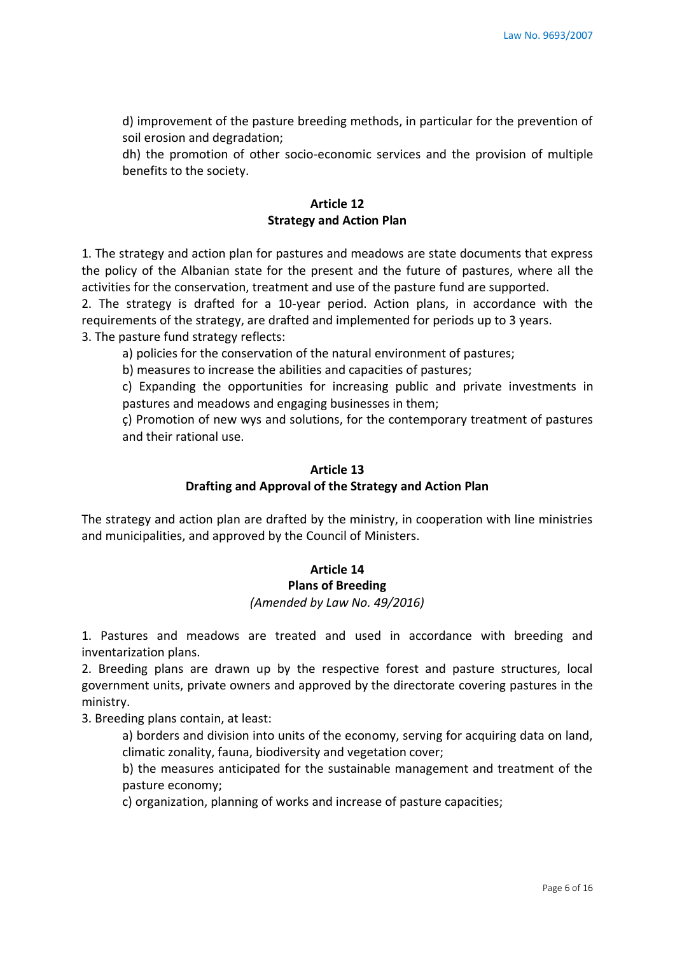d) improvement of the pasture breeding methods, in particular for the prevention of soil erosion and degradation;

dh) the promotion of other socio-economic services and the provision of multiple benefits to the society.

# **Article 12 Strategy and Action Plan**

1. The strategy and action plan for pastures and meadows are state documents that express the policy of the Albanian state for the present and the future of pastures, where all the activities for the conservation, treatment and use of the pasture fund are supported.

2. The strategy is drafted for a 10-year period. Action plans, in accordance with the requirements of the strategy, are drafted and implemented for periods up to 3 years. 3. The pasture fund strategy reflects:

a) policies for the conservation of the natural environment of pastures;

b) measures to increase the abilities and capacities of pastures;

c) Expanding the opportunities for increasing public and private investments in pastures and meadows and engaging businesses in them;

ç) Promotion of new wys and solutions, for the contemporary treatment of pastures and their rational use.

### **Article 13**

### **Drafting and Approval of the Strategy and Action Plan**

The strategy and action plan are drafted by the ministry, in cooperation with line ministries and municipalities, and approved by the Council of Ministers.

# **Article 14**

### **Plans of Breeding**

### *(Amended by Law No. 49/2016)*

1. Pastures and meadows are treated and used in accordance with breeding and inventarization plans.

2. Breeding plans are drawn up by the respective forest and pasture structures, local government units, private owners and approved by the directorate covering pastures in the ministry.

3. Breeding plans contain, at least:

a) borders and division into units of the economy, serving for acquiring data on land, climatic zonality, fauna, biodiversity and vegetation cover;

b) the measures anticipated for the sustainable management and treatment of the pasture economy;

c) organization, planning of works and increase of pasture capacities;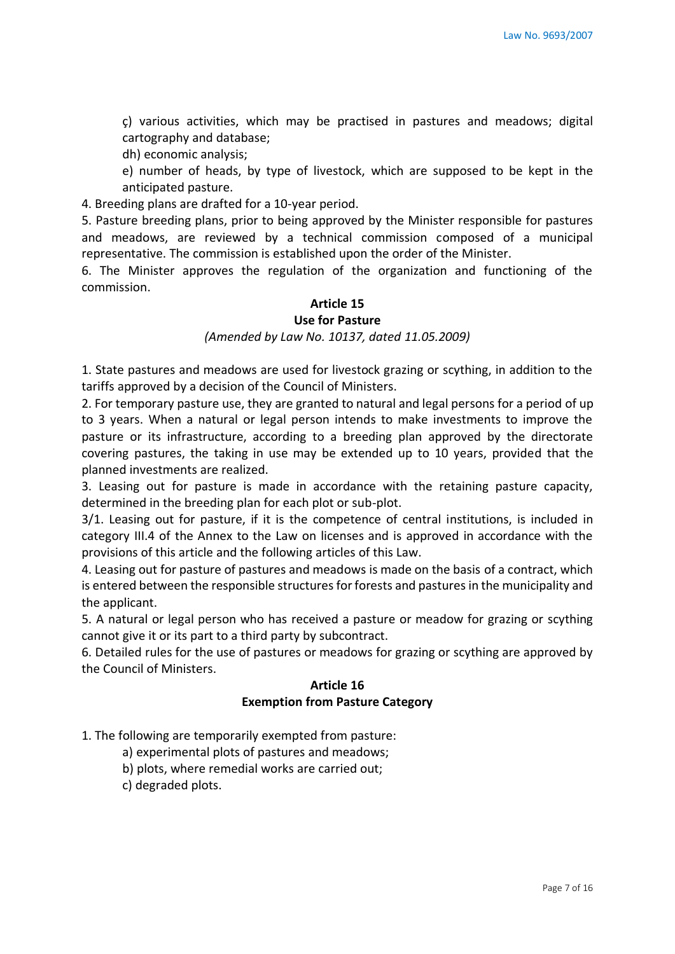ç) various activities, which may be practised in pastures and meadows; digital cartography and database;

dh) economic analysis;

e) number of heads, by type of livestock, which are supposed to be kept in the anticipated pasture.

4. Breeding plans are drafted for a 10-year period.

5. Pasture breeding plans, prior to being approved by the Minister responsible for pastures and meadows, are reviewed by a technical commission composed of a municipal representative. The commission is established upon the order of the Minister.

6. The Minister approves the regulation of the organization and functioning of the commission.

### **Article 15**

### **Use for Pasture**

#### *(Amended by Law No. 10137, dated 11.05.2009)*

1. State pastures and meadows are used for livestock grazing or scything, in addition to the tariffs approved by a decision of the Council of Ministers.

2. For temporary pasture use, they are granted to natural and legal persons for a period of up to 3 years. When a natural or legal person intends to make investments to improve the pasture or its infrastructure, according to a breeding plan approved by the directorate covering pastures, the taking in use may be extended up to 10 years, provided that the planned investments are realized.

3. Leasing out for pasture is made in accordance with the retaining pasture capacity, determined in the breeding plan for each plot or sub-plot.

3/1. Leasing out for pasture, if it is the competence of central institutions, is included in category III.4 of the Annex to the Law on licenses and is approved in accordance with the provisions of this article and the following articles of this Law.

4. Leasing out for pasture of pastures and meadows is made on the basis of a contract, which is entered between the responsible structures for forests and pastures in the municipality and the applicant.

5. A natural or legal person who has received a pasture or meadow for grazing or scything cannot give it or its part to a third party by subcontract.

6. Detailed rules for the use of pastures or meadows for grazing or scything are approved by the Council of Ministers.

### **Article 16 Exemption from Pasture Category**

- 1. The following are temporarily exempted from pasture:
	- a) experimental plots of pastures and meadows;
	- b) plots, where remedial works are carried out;
	- c) degraded plots.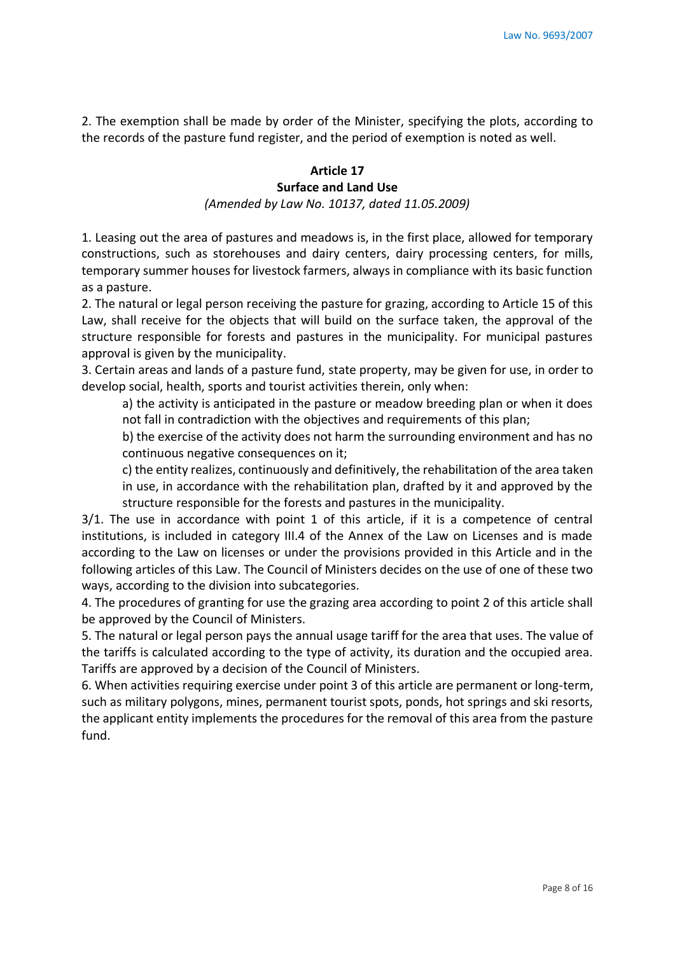2. The exemption shall be made by order of the Minister, specifying the plots, according to the records of the pasture fund register, and the period of exemption is noted as well.

# **Article 17 Surface and Land Use**

*(Amended by Law No. 10137, dated 11.05.2009)*

1. Leasing out the area of pastures and meadows is, in the first place, allowed for temporary constructions, such as storehouses and dairy centers, dairy processing centers, for mills, temporary summer houses for livestock farmers, always in compliance with its basic function as a pasture.

2. The natural or legal person receiving the pasture for grazing, according to Article 15 of this Law, shall receive for the objects that will build on the surface taken, the approval of the structure responsible for forests and pastures in the municipality. For municipal pastures approval is given by the municipality.

3. Certain areas and lands of a pasture fund, state property, may be given for use, in order to develop social, health, sports and tourist activities therein, only when:

a) the activity is anticipated in the pasture or meadow breeding plan or when it does not fall in contradiction with the objectives and requirements of this plan;

b) the exercise of the activity does not harm the surrounding environment and has no continuous negative consequences on it:

c) the entity realizes, continuously and definitively, the rehabilitation of the area taken in use, in accordance with the rehabilitation plan, drafted by it and approved by the structure responsible for the forests and pastures in the municipality.

3/1. The use in accordance with point 1 of this article, if it is a competence of central institutions, is included in category III.4 of the Annex of the Law on Licenses and is made according to the Law on licenses or under the provisions provided in this Article and in the following articles of this Law. The Council of Ministers decides on the use of one of these two ways, according to the division into subcategories.

4. The procedures of granting for use the grazing area according to point 2 of this article shall be approved by the Council of Ministers.

5. The natural or legal person pays the annual usage tariff for the area that uses. The value of the tariffs is calculated according to the type of activity, its duration and the occupied area. Tariffs are approved by a decision of the Council of Ministers.

6. When activities requiring exercise under point 3 of this article are permanent or long-term, such as military polygons, mines, permanent tourist spots, ponds, hot springs and ski resorts, the applicant entity implements the procedures for the removal of this area from the pasture fund.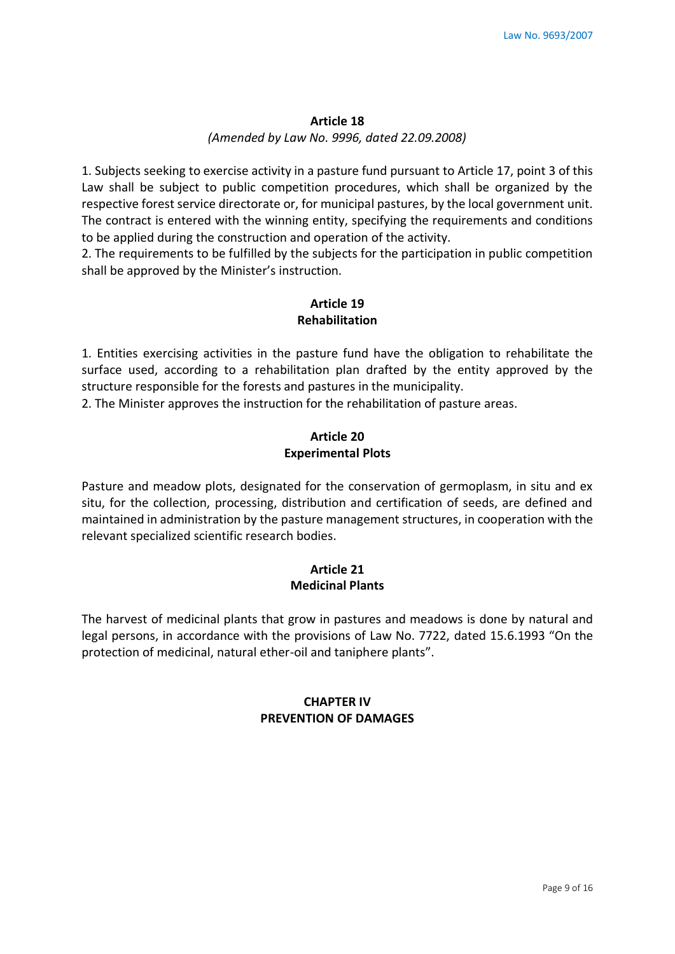#### **Article 18**

### *(Amended by Law No. 9996, dated 22.09.2008)*

1. Subjects seeking to exercise activity in a pasture fund pursuant to Article 17, point 3 of this Law shall be subject to public competition procedures, which shall be organized by the respective forest service directorate or, for municipal pastures, by the local government unit. The contract is entered with the winning entity, specifying the requirements and conditions to be applied during the construction and operation of the activity.

2. The requirements to be fulfilled by the subjects for the participation in public competition shall be approved by the Minister's instruction.

### **Article 19 Rehabilitation**

1. Entities exercising activities in the pasture fund have the obligation to rehabilitate the surface used, according to a rehabilitation plan drafted by the entity approved by the structure responsible for the forests and pastures in the municipality.

2. The Minister approves the instruction for the rehabilitation of pasture areas.

### **Article 20 Experimental Plots**

Pasture and meadow plots, designated for the conservation of germoplasm, in situ and ex situ, for the collection, processing, distribution and certification of seeds, are defined and maintained in administration by the pasture management structures, in cooperation with the relevant specialized scientific research bodies.

# **Article 21 Medicinal Plants**

The harvest of medicinal plants that grow in pastures and meadows is done by natural and legal persons, in accordance with the provisions of Law No. 7722, dated 15.6.1993 "On the protection of medicinal, natural ether-oil and taniphere plants".

# **CHAPTER IV PREVENTION OF DAMAGES**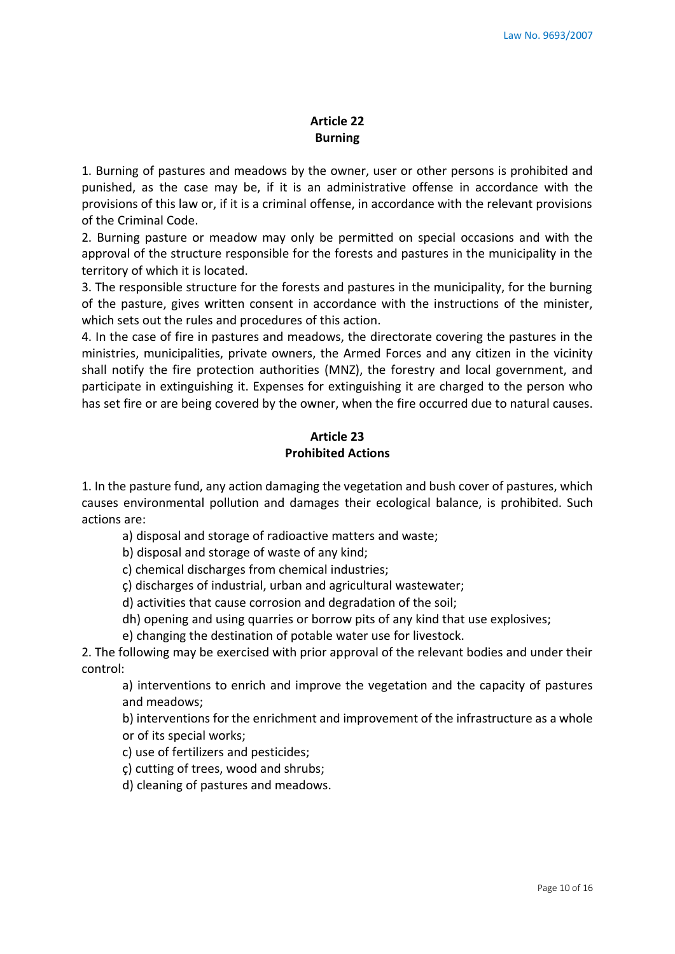### **Article 22 Burning**

1. Burning of pastures and meadows by the owner, user or other persons is prohibited and punished, as the case may be, if it is an administrative offense in accordance with the provisions of this law or, if it is a criminal offense, in accordance with the relevant provisions of the Criminal Code.

2. Burning pasture or meadow may only be permitted on special occasions and with the approval of the structure responsible for the forests and pastures in the municipality in the territory of which it is located.

3. The responsible structure for the forests and pastures in the municipality, for the burning of the pasture, gives written consent in accordance with the instructions of the minister, which sets out the rules and procedures of this action.

4. In the case of fire in pastures and meadows, the directorate covering the pastures in the ministries, municipalities, private owners, the Armed Forces and any citizen in the vicinity shall notify the fire protection authorities (MNZ), the forestry and local government, and participate in extinguishing it. Expenses for extinguishing it are charged to the person who has set fire or are being covered by the owner, when the fire occurred due to natural causes.

### **Article 23 Prohibited Actions**

1. In the pasture fund, any action damaging the vegetation and bush cover of pastures, which causes environmental pollution and damages their ecological balance, is prohibited. Such actions are:

a) disposal and storage of radioactive matters and waste;

b) disposal and storage of waste of any kind;

c) chemical discharges from chemical industries;

ç) discharges of industrial, urban and agricultural wastewater;

d) activities that cause corrosion and degradation of the soil;

dh) opening and using quarries or borrow pits of any kind that use explosives;

e) changing the destination of potable water use for livestock.

2. The following may be exercised with prior approval of the relevant bodies and under their control:

a) interventions to enrich and improve the vegetation and the capacity of pastures and meadows;

b) interventions for the enrichment and improvement of the infrastructure as a whole or of its special works;

c) use of fertilizers and pesticides;

ç) cutting of trees, wood and shrubs;

d) cleaning of pastures and meadows.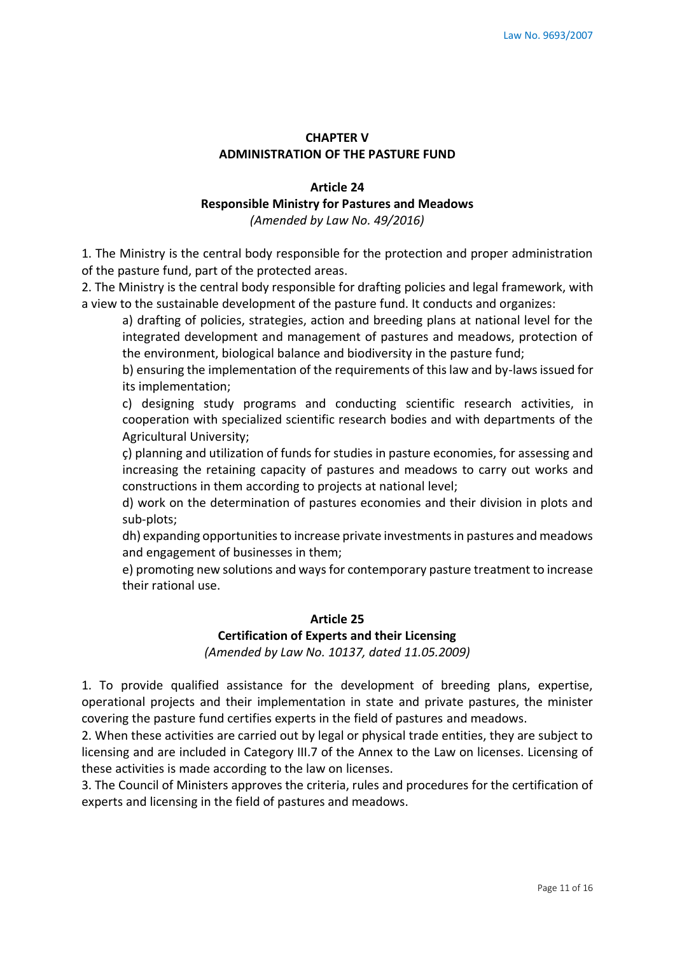# **CHAPTER V ADMINISTRATION OF THE PASTURE FUND**

# **Article 24**

### **Responsible Ministry for Pastures and Meadows**

*(Amended by Law No. 49/2016)* 

1. The Ministry is the central body responsible for the protection and proper administration of the pasture fund, part of the protected areas.

2. The Ministry is the central body responsible for drafting policies and legal framework, with a view to the sustainable development of the pasture fund. It conducts and organizes:

a) drafting of policies, strategies, action and breeding plans at national level for the integrated development and management of pastures and meadows, protection of the environment, biological balance and biodiversity in the pasture fund;

b) ensuring the implementation of the requirements of this law and by-laws issued for its implementation;

c) designing study programs and conducting scientific research activities, in cooperation with specialized scientific research bodies and with departments of the Agricultural University;

ç) planning and utilization of funds for studies in pasture economies, for assessing and increasing the retaining capacity of pastures and meadows to carry out works and constructions in them according to projects at national level;

d) work on the determination of pastures economies and their division in plots and sub-plots;

dh) expanding opportunities to increase private investments in pastures and meadows and engagement of businesses in them;

e) promoting new solutions and ways for contemporary pasture treatment to increase their rational use.

### **Article 25**

### **Certification of Experts and their Licensing**

*(Amended by Law No. 10137, dated 11.05.2009)*

1. To provide qualified assistance for the development of breeding plans, expertise, operational projects and their implementation in state and private pastures, the minister covering the pasture fund certifies experts in the field of pastures and meadows.

2. When these activities are carried out by legal or physical trade entities, they are subject to licensing and are included in Category III.7 of the Annex to the Law on licenses. Licensing of these activities is made according to the law on licenses.

3. The Council of Ministers approves the criteria, rules and procedures for the certification of experts and licensing in the field of pastures and meadows.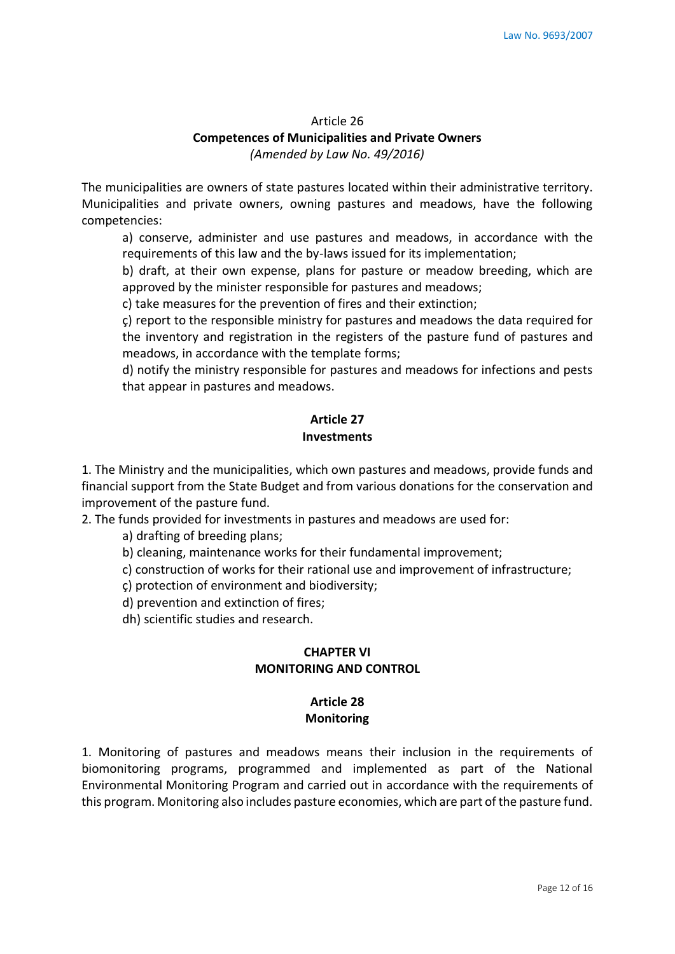# Article 26 **Competences of Municipalities and Private Owners**  *(Amended by Law No. 49/2016)*

The municipalities are owners of state pastures located within their administrative territory. Municipalities and private owners, owning pastures and meadows, have the following competencies:

a) conserve, administer and use pastures and meadows, in accordance with the requirements of this law and the by-laws issued for its implementation;

b) draft, at their own expense, plans for pasture or meadow breeding, which are approved by the minister responsible for pastures and meadows;

c) take measures for the prevention of fires and their extinction;

ç) report to the responsible ministry for pastures and meadows the data required for the inventory and registration in the registers of the pasture fund of pastures and meadows, in accordance with the template forms;

d) notify the ministry responsible for pastures and meadows for infections and pests that appear in pastures and meadows.

# **Article 27 Investments**

1. The Ministry and the municipalities, which own pastures and meadows, provide funds and financial support from the State Budget and from various donations for the conservation and improvement of the pasture fund.

2. The funds provided for investments in pastures and meadows are used for:

a) drafting of breeding plans;

b) cleaning, maintenance works for their fundamental improvement;

c) construction of works for their rational use and improvement of infrastructure;

ç) protection of environment and biodiversity;

d) prevention and extinction of fires;

dh) scientific studies and research.

### **CHAPTER VI MONITORING AND CONTROL**

### **Article 28 Monitoring**

1. Monitoring of pastures and meadows means their inclusion in the requirements of biomonitoring programs, programmed and implemented as part of the National Environmental Monitoring Program and carried out in accordance with the requirements of this program. Monitoring also includes pasture economies, which are part of the pasture fund.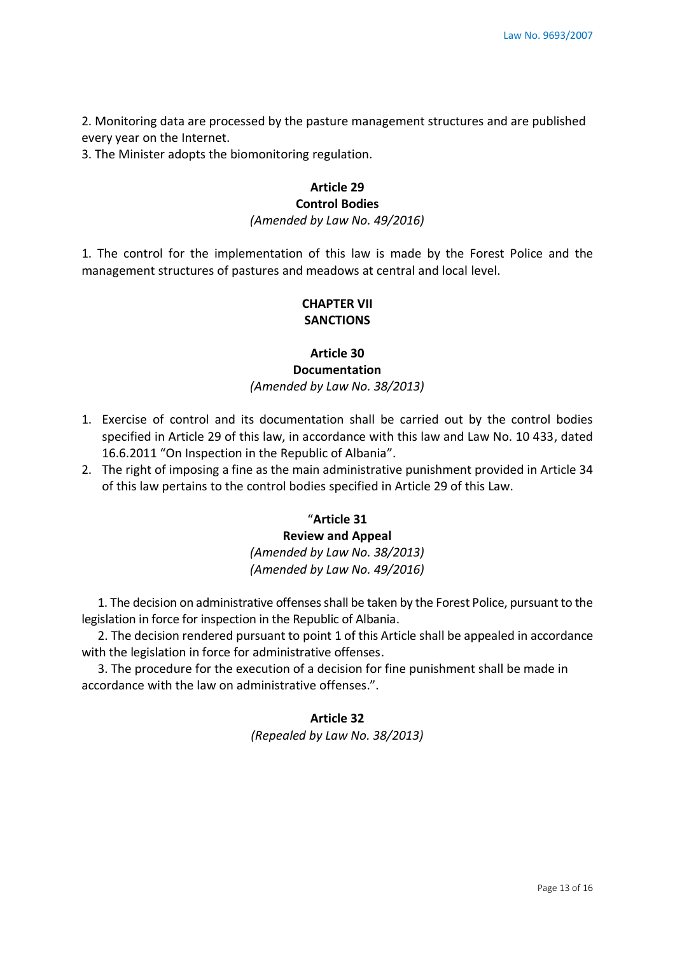2. Monitoring data are processed by the pasture management structures and are published every year on the Internet.

3. The Minister adopts the biomonitoring regulation.

### **Article 29 Control Bodies**

*(Amended by Law No. 49/2016)*

1. The control for the implementation of this law is made by the Forest Police and the management structures of pastures and meadows at central and local level.

### **CHAPTER VII SANCTIONS**

# **Article 30 Documentation**  *(Amended by Law No. 38/2013)*

- 1. Exercise of control and its documentation shall be carried out by the control bodies specified in Article 29 of this law, in accordance with this law and Law No. 10 433, dated 16.6.2011 "On Inspection in the Republic of Albania".
- 2. The right of imposing a fine as the main administrative punishment provided in Article 34 of this law pertains to the control bodies specified in Article 29 of this Law.

# "**Article 31**

# **Review and Appeal**  *(Amended by Law No. 38/2013) (Amended by Law No. 49/2016)*

1. The decision on administrative offenses shall be taken by the Forest Police, pursuant to the legislation in force for inspection in the Republic of Albania.

2. The decision rendered pursuant to point 1 of this Article shall be appealed in accordance with the legislation in force for administrative offenses.

3. The procedure for the execution of a decision for fine punishment shall be made in accordance with the law on administrative offenses.".

### **Article 32**

*(Repealed by Law No. 38/2013)*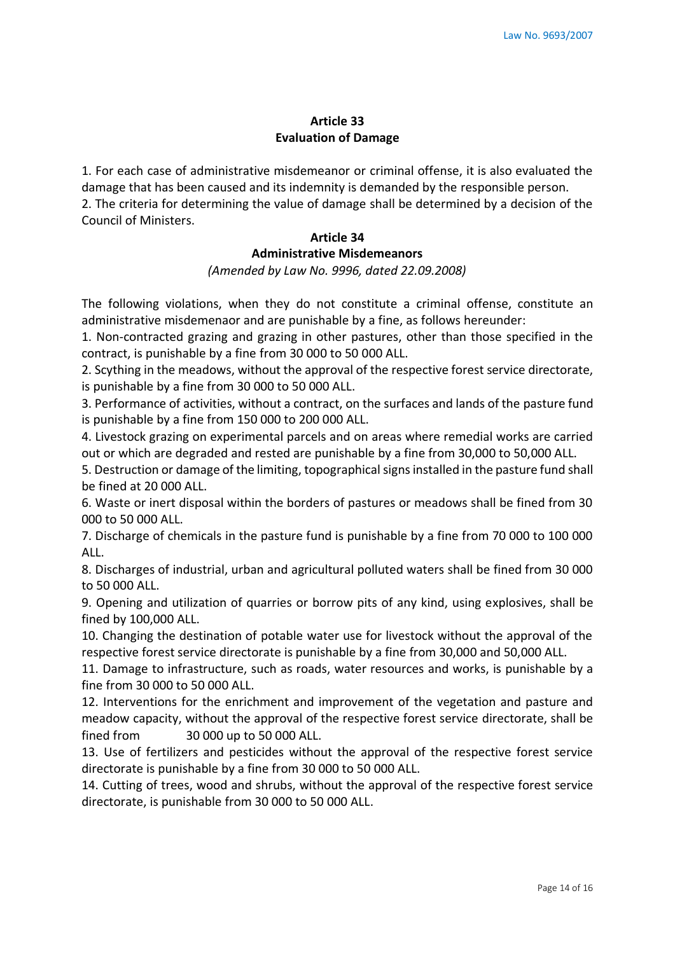### **Article 33 Evaluation of Damage**

1. For each case of administrative misdemeanor or criminal offense, it is also evaluated the damage that has been caused and its indemnity is demanded by the responsible person. 2. The criteria for determining the value of damage shall be determined by a decision of the Council of Ministers.

### **Article 34 Administrative Misdemeanors**  *(Amended by Law No. 9996, dated 22.09.2008)*

The following violations, when they do not constitute a criminal offense, constitute an administrative misdemenaor and are punishable by a fine, as follows hereunder:

1. Non-contracted grazing and grazing in other pastures, other than those specified in the contract, is punishable by a fine from 30 000 to 50 000 ALL.

2. Scything in the meadows, without the approval of the respective forest service directorate, is punishable by a fine from 30 000 to 50 000 ALL.

3. Performance of activities, without a contract, on the surfaces and lands of the pasture fund is punishable by a fine from 150 000 to 200 000 ALL.

4. Livestock grazing on experimental parcels and on areas where remedial works are carried out or which are degraded and rested are punishable by a fine from 30,000 to 50,000 ALL.

5. Destruction or damage of the limiting, topographical signs installed in the pasture fund shall be fined at 20 000 ALL.

6. Waste or inert disposal within the borders of pastures or meadows shall be fined from 30 000 to 50 000 ALL.

7. Discharge of chemicals in the pasture fund is punishable by a fine from 70 000 to 100 000 ALL.

8. Discharges of industrial, urban and agricultural polluted waters shall be fined from 30 000 to 50 000 ALL.

9. Opening and utilization of quarries or borrow pits of any kind, using explosives, shall be fined by 100,000 ALL.

10. Changing the destination of potable water use for livestock without the approval of the respective forest service directorate is punishable by a fine from 30,000 and 50,000 ALL.

11. Damage to infrastructure, such as roads, water resources and works, is punishable by a fine from 30 000 to 50 000 ALL.

12. Interventions for the enrichment and improvement of the vegetation and pasture and meadow capacity, without the approval of the respective forest service directorate, shall be fined from 30 000 up to 50 000 ALL.

13. Use of fertilizers and pesticides without the approval of the respective forest service directorate is punishable by a fine from 30 000 to 50 000 ALL.

14. Cutting of trees, wood and shrubs, without the approval of the respective forest service directorate, is punishable from 30 000 to 50 000 ALL.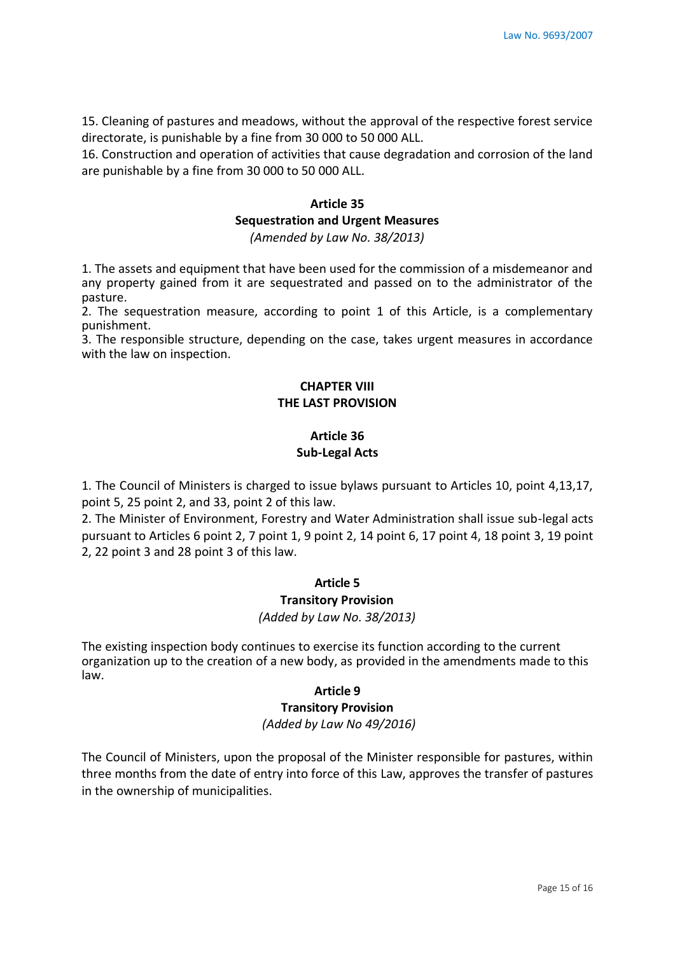15. Cleaning of pastures and meadows, without the approval of the respective forest service directorate, is punishable by a fine from 30 000 to 50 000 ALL.

16. Construction and operation of activities that cause degradation and corrosion of the land are punishable by a fine from 30 000 to 50 000 ALL.

### **Article 35**

### **Sequestration and Urgent Measures**

*(Amended by Law No. 38/2013)* 

1. The assets and equipment that have been used for the commission of a misdemeanor and any property gained from it are sequestrated and passed on to the administrator of the pasture.

2. The sequestration measure, according to point 1 of this Article, is a complementary punishment.

3. The responsible structure, depending on the case, takes urgent measures in accordance with the law on inspection.

### **CHAPTER VIII THE LAST PROVISION**

# **Article 36 Sub-Legal Acts**

1. The Council of Ministers is charged to issue bylaws pursuant to Articles 10, point 4,13,17, point 5, 25 point 2, and 33, point 2 of this law.

2. The Minister of Environment, Forestry and Water Administration shall issue sub-legal acts pursuant to Articles 6 point 2, 7 point 1, 9 point 2, 14 point 6, 17 point 4, 18 point 3, 19 point 2, 22 point 3 and 28 point 3 of this law.

### **Article 5**

#### **Transitory Provision**

*(Added by Law No. 38/2013)*

The existing inspection body continues to exercise its function according to the current organization up to the creation of a new body, as provided in the amendments made to this law.

#### **Article 9**

### **Transitory Provision**

### *(Added by Law No 49/2016)*

The Council of Ministers, upon the proposal of the Minister responsible for pastures, within three months from the date of entry into force of this Law, approves the transfer of pastures in the ownership of municipalities.